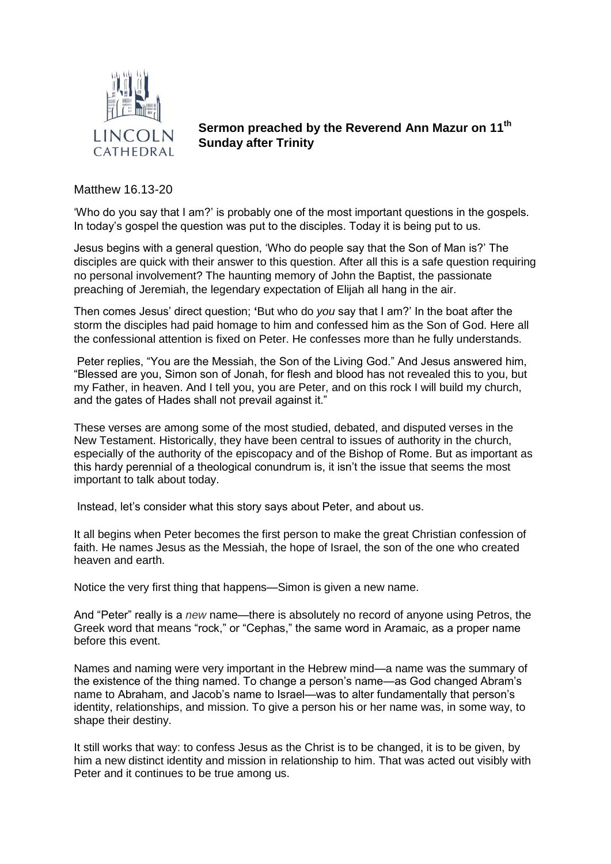

**Sermon preached by the Reverend Ann Mazur on 11th Sunday after Trinity**

Matthew 16.13-20

'Who do you say that I am?' is probably one of the most important questions in the gospels. In today's gospel the question was put to the disciples. Today it is being put to us.

Jesus begins with a general question, 'Who do people say that the Son of Man is?' The disciples are quick with their answer to this question. After all this is a safe question requiring no personal involvement? The haunting memory of John the Baptist, the passionate preaching of Jeremiah, the legendary expectation of Elijah all hang in the air.

Then comes Jesus' direct question; **'**But who do *you* say that I am?' In the boat after the storm the disciples had paid homage to him and confessed him as the Son of God. Here all the confessional attention is fixed on Peter. He confesses more than he fully understands.

Peter replies, "You are the Messiah, the Son of the Living God." And Jesus answered him, "Blessed are you, Simon son of Jonah, for flesh and blood has not revealed this to you, but my Father, in heaven. And I tell you, you are Peter, and on this rock I will build my church, and the gates of Hades shall not prevail against it."

These verses are among some of the most studied, debated, and disputed verses in the New Testament. Historically, they have been central to issues of authority in the church, especially of the authority of the episcopacy and of the Bishop of Rome. But as important as this hardy perennial of a theological conundrum is, it isn't the issue that seems the most important to talk about today.

Instead, let's consider what this story says about Peter, and about us.

It all begins when Peter becomes the first person to make the great Christian confession of faith. He names Jesus as the Messiah, the hope of Israel, the son of the one who created heaven and earth.

Notice the very first thing that happens—Simon is given a new name.

And "Peter" really is a *new* name—there is absolutely no record of anyone using Petros, the Greek word that means "rock," or "Cephas," the same word in Aramaic, as a proper name before this event.

Names and naming were very important in the Hebrew mind—a name was the summary of the existence of the thing named. To change a person's name—as God changed Abram's name to Abraham, and Jacob's name to Israel—was to alter fundamentally that person's identity, relationships, and mission. To give a person his or her name was, in some way, to shape their destiny.

It still works that way: to confess Jesus as the Christ is to be changed, it is to be given, by him a new distinct identity and mission in relationship to him. That was acted out visibly with Peter and it continues to be true among us.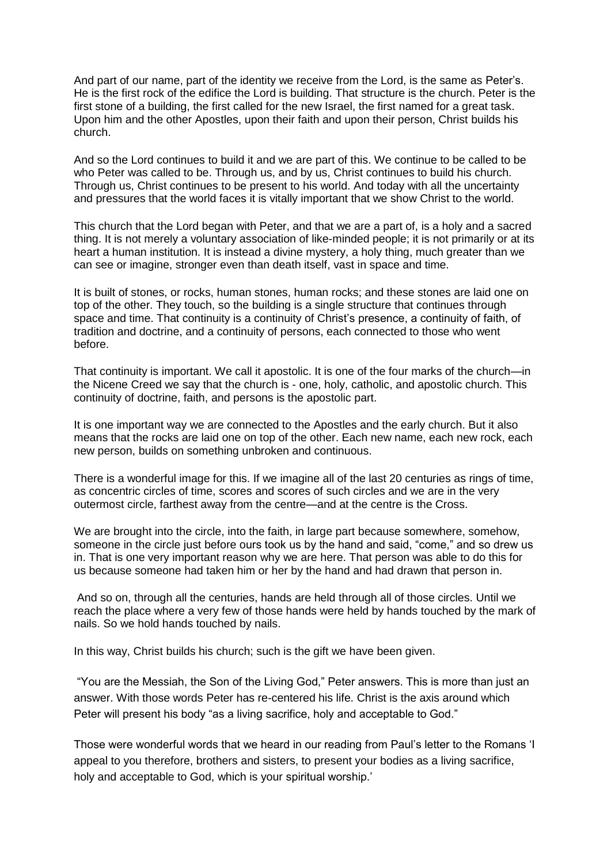And part of our name, part of the identity we receive from the Lord, is the same as Peter's. He is the first rock of the edifice the Lord is building. That structure is the church. Peter is the first stone of a building, the first called for the new Israel, the first named for a great task. Upon him and the other Apostles, upon their faith and upon their person, Christ builds his church.

And so the Lord continues to build it and we are part of this. We continue to be called to be who Peter was called to be. Through us, and by us, Christ continues to build his church. Through us, Christ continues to be present to his world. And today with all the uncertainty and pressures that the world faces it is vitally important that we show Christ to the world.

This church that the Lord began with Peter, and that we are a part of, is a holy and a sacred thing. It is not merely a voluntary association of like-minded people; it is not primarily or at its heart a human institution. It is instead a divine mystery, a holy thing, much greater than we can see or imagine, stronger even than death itself, vast in space and time.

It is built of stones, or rocks, human stones, human rocks; and these stones are laid one on top of the other. They touch, so the building is a single structure that continues through space and time. That continuity is a continuity of Christ's presence, a continuity of faith, of tradition and doctrine, and a continuity of persons, each connected to those who went before.

That continuity is important. We call it apostolic. It is one of the four marks of the church—in the Nicene Creed we say that the church is - one, holy, catholic, and apostolic church. This continuity of doctrine, faith, and persons is the apostolic part.

It is one important way we are connected to the Apostles and the early church. But it also means that the rocks are laid one on top of the other. Each new name, each new rock, each new person, builds on something unbroken and continuous.

There is a wonderful image for this. If we imagine all of the last 20 centuries as rings of time, as concentric circles of time, scores and scores of such circles and we are in the very outermost circle, farthest away from the centre—and at the centre is the Cross.

We are brought into the circle, into the faith, in large part because somewhere, somehow, someone in the circle just before ours took us by the hand and said, "come," and so drew us in. That is one very important reason why we are here. That person was able to do this for us because someone had taken him or her by the hand and had drawn that person in.

And so on, through all the centuries, hands are held through all of those circles. Until we reach the place where a very few of those hands were held by hands touched by the mark of nails. So we hold hands touched by nails.

In this way, Christ builds his church; such is the gift we have been given.

"You are the Messiah, the Son of the Living God," Peter answers. This is more than just an answer. With those words Peter has re-centered his life. Christ is the axis around which Peter will present his body "as a living sacrifice, holy and acceptable to God."

Those were wonderful words that we heard in our reading from Paul's letter to the Romans 'I appeal to you therefore, brothers and sisters, to present your bodies as a living sacrifice, holy and acceptable to God, which is your spiritual worship.'